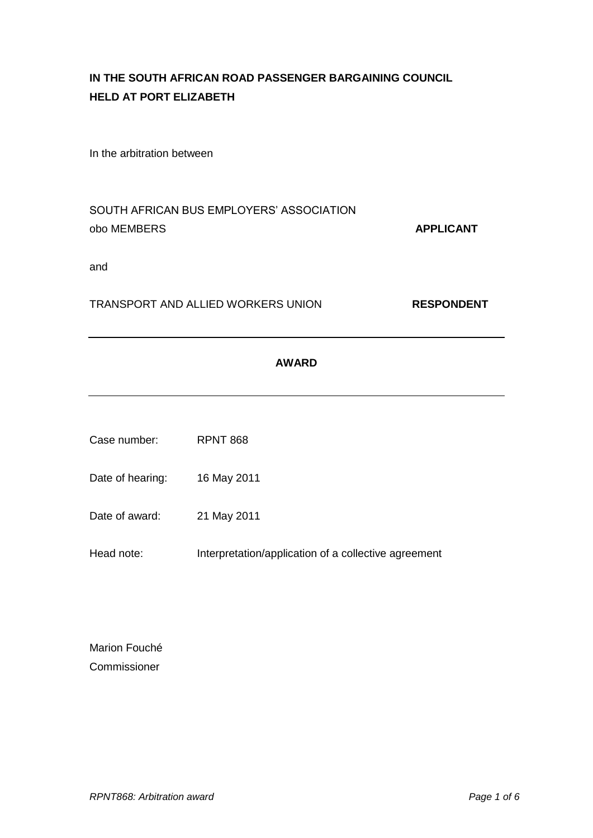# **IN THE SOUTH AFRICAN ROAD PASSENGER BARGAINING COUNCIL HELD AT PORT ELIZABETH**

In the arbitration between

# SOUTH AFRICAN BUS EMPLOYERS' ASSOCIATION obo MEMBERS **APPLICANT**

and

TRANSPORT AND ALLIED WORKERS UNION **RESPONDENT**

#### **AWARD**

Case number: RPNT 868

Date of hearing: 16 May 2011

Date of award: 21 May 2011

Head note: Interpretation/application of a collective agreement

Marion Fouché Commissioner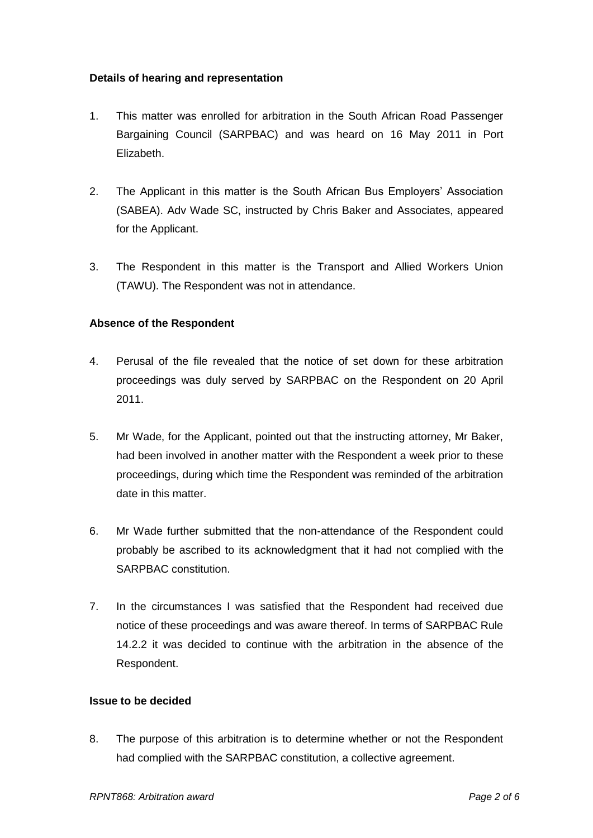# **Details of hearing and representation**

- 1. This matter was enrolled for arbitration in the South African Road Passenger Bargaining Council (SARPBAC) and was heard on 16 May 2011 in Port Elizabeth.
- 2. The Applicant in this matter is the South African Bus Employers' Association (SABEA). Adv Wade SC, instructed by Chris Baker and Associates, appeared for the Applicant.
- 3. The Respondent in this matter is the Transport and Allied Workers Union (TAWU). The Respondent was not in attendance.

# **Absence of the Respondent**

- 4. Perusal of the file revealed that the notice of set down for these arbitration proceedings was duly served by SARPBAC on the Respondent on 20 April 2011.
- 5. Mr Wade, for the Applicant, pointed out that the instructing attorney, Mr Baker, had been involved in another matter with the Respondent a week prior to these proceedings, during which time the Respondent was reminded of the arbitration date in this matter.
- 6. Mr Wade further submitted that the non-attendance of the Respondent could probably be ascribed to its acknowledgment that it had not complied with the SARPBAC constitution.
- 7. In the circumstances I was satisfied that the Respondent had received due notice of these proceedings and was aware thereof. In terms of SARPBAC Rule 14.2.2 it was decided to continue with the arbitration in the absence of the Respondent.

#### **Issue to be decided**

8. The purpose of this arbitration is to determine whether or not the Respondent had complied with the SARPBAC constitution, a collective agreement.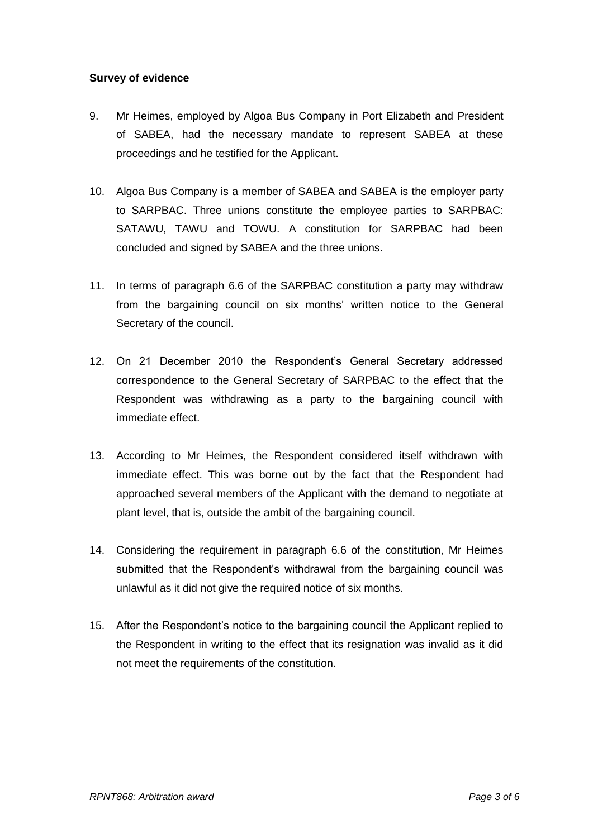# **Survey of evidence**

- 9. Mr Heimes, employed by Algoa Bus Company in Port Elizabeth and President of SABEA, had the necessary mandate to represent SABEA at these proceedings and he testified for the Applicant.
- 10. Algoa Bus Company is a member of SABEA and SABEA is the employer party to SARPBAC. Three unions constitute the employee parties to SARPBAC: SATAWU, TAWU and TOWU. A constitution for SARPBAC had been concluded and signed by SABEA and the three unions.
- 11. In terms of paragraph 6.6 of the SARPBAC constitution a party may withdraw from the bargaining council on six months' written notice to the General Secretary of the council.
- 12. On 21 December 2010 the Respondent's General Secretary addressed correspondence to the General Secretary of SARPBAC to the effect that the Respondent was withdrawing as a party to the bargaining council with immediate effect.
- 13. According to Mr Heimes, the Respondent considered itself withdrawn with immediate effect. This was borne out by the fact that the Respondent had approached several members of the Applicant with the demand to negotiate at plant level, that is, outside the ambit of the bargaining council.
- 14. Considering the requirement in paragraph 6.6 of the constitution, Mr Heimes submitted that the Respondent's withdrawal from the bargaining council was unlawful as it did not give the required notice of six months.
- 15. After the Respondent's notice to the bargaining council the Applicant replied to the Respondent in writing to the effect that its resignation was invalid as it did not meet the requirements of the constitution.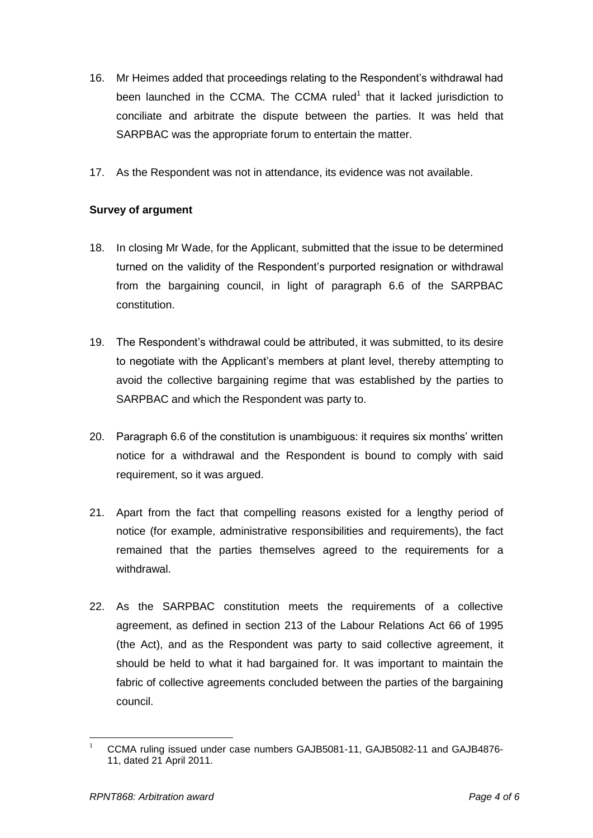- 16. Mr Heimes added that proceedings relating to the Respondent's withdrawal had been launched in the CCMA. The CCMA ruled<sup>1</sup> that it lacked jurisdiction to conciliate and arbitrate the dispute between the parties. It was held that SARPBAC was the appropriate forum to entertain the matter.
- 17. As the Respondent was not in attendance, its evidence was not available.

# **Survey of argument**

- 18. In closing Mr Wade, for the Applicant, submitted that the issue to be determined turned on the validity of the Respondent's purported resignation or withdrawal from the bargaining council, in light of paragraph 6.6 of the SARPBAC constitution.
- 19. The Respondent's withdrawal could be attributed, it was submitted, to its desire to negotiate with the Applicant's members at plant level, thereby attempting to avoid the collective bargaining regime that was established by the parties to SARPBAC and which the Respondent was party to.
- 20. Paragraph 6.6 of the constitution is unambiguous: it requires six months' written notice for a withdrawal and the Respondent is bound to comply with said requirement, so it was argued.
- 21. Apart from the fact that compelling reasons existed for a lengthy period of notice (for example, administrative responsibilities and requirements), the fact remained that the parties themselves agreed to the requirements for a withdrawal.
- 22. As the SARPBAC constitution meets the requirements of a collective agreement, as defined in section 213 of the Labour Relations Act 66 of 1995 (the Act), and as the Respondent was party to said collective agreement, it should be held to what it had bargained for. It was important to maintain the fabric of collective agreements concluded between the parties of the bargaining council.

 $\mathbf{1}$ <sup>1</sup> CCMA ruling issued under case numbers GAJB5081-11, GAJB5082-11 and GAJB4876- 11, dated 21 April 2011.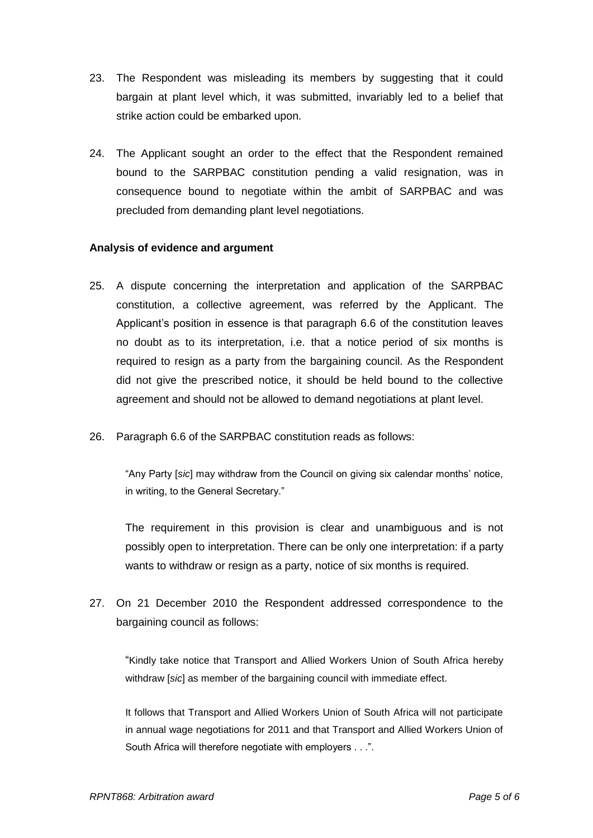- 23. The Respondent was misleading its members by suggesting that it could bargain at plant level which, it was submitted, invariably led to a belief that strike action could be embarked upon.
- 24. The Applicant sought an order to the effect that the Respondent remained bound to the SARPBAC constitution pending a valid resignation, was in consequence bound to negotiate within the ambit of SARPBAC and was precluded from demanding plant level negotiations.

#### **Analysis of evidence and argument**

- 25. A dispute concerning the interpretation and application of the SARPBAC constitution, a collective agreement, was referred by the Applicant. The Applicant's position in essence is that paragraph 6.6 of the constitution leaves no doubt as to its interpretation, i.e. that a notice period of six months is required to resign as a party from the bargaining council. As the Respondent did not give the prescribed notice, it should be held bound to the collective agreement and should not be allowed to demand negotiations at plant level.
- 26. Paragraph 6.6 of the SARPBAC constitution reads as follows:

"Any Party [*sic*] may withdraw from the Council on giving six calendar months' notice, in writing, to the General Secretary."

The requirement in this provision is clear and unambiguous and is not possibly open to interpretation. There can be only one interpretation: if a party wants to withdraw or resign as a party, notice of six months is required.

27. On 21 December 2010 the Respondent addressed correspondence to the bargaining council as follows:

"Kindly take notice that Transport and Allied Workers Union of South Africa hereby withdraw [*sic*] as member of the bargaining council with immediate effect.

It follows that Transport and Allied Workers Union of South Africa will not participate in annual wage negotiations for 2011 and that Transport and Allied Workers Union of South Africa will therefore negotiate with employers . . .".